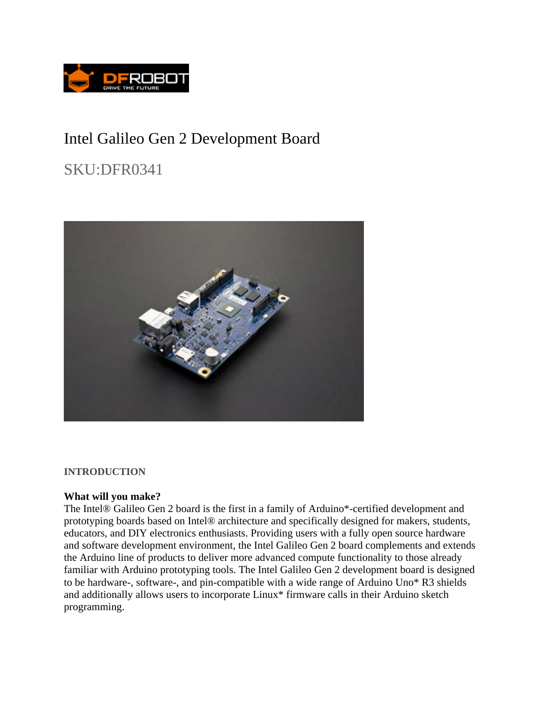

# Intel Galileo Gen 2 Development Board

SKU:DFR0341



**INTRODUCTION** 

### **What will you make?**

The Intel® Galileo Gen 2 board is the first in a family of Arduino\*-certified development and prototyping boards based on Intel® architecture and specifically designed for makers, students, educators, and DIY electronics enthusiasts. Providing users with a fully open source hardware and software development environment, the Intel Galileo Gen 2 board complements and extends the Arduino line of products to deliver more advanced compute functionality to those already familiar with Arduino prototyping tools. The Intel Galileo Gen 2 development board is designed to be hardware-, software-, and pin-compatible with a wide range of Arduino Uno\* R3 shields and additionally allows users to incorporate Linux\* firmware calls in their Arduino sketch programming.